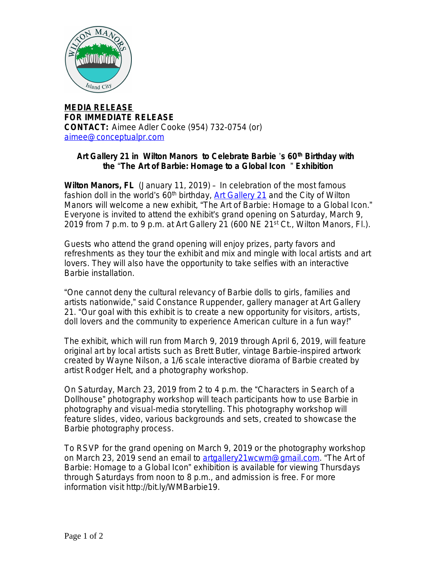

**MEDIA RELEASE FOR IMMEDIATE RELEASE CONTACT:** Aimee Adler Cooke (954) 732-0754 (or) [aimee@conceptualpr.com](mailto:aimee@conceptualpr.com)

## **[Art Gallery 21 in Wilton Manors to Celebrate Barbie](mailto:aimee@conceptualpr.com)** '**s 60[th](mailto:aimee@conceptualpr.com) [Birthday with](mailto:aimee@conceptualpr.com)  [the](mailto:aimee@conceptualpr.com)** "**[The Art of Barbie: Homage to a Global Icon](mailto:aimee@conceptualpr.com)** " **Exhibition**

**[Wilton Manors, FL](mailto:aimee@conceptualpr.com)** [\(January 11, 2019\)](mailto:aimee@conceptualpr.com) [–](mailto:aimee@conceptualpr.com) [In celebration of the most famous](mailto:aimee@conceptualpr.com)  [fashion doll in the world](mailto:aimee@conceptualpr.com)'s  $60<sup>th</sup>$  $60<sup>th</sup>$  $60<sup>th</sup>$  [birthday,](mailto:aimee@conceptualpr.com) [Art Gallery 21](http://bit.ly/WMBarbie19) and the City of Wilton Manors will welcome a new exhibit, "The Art of Barbie: Homage to a Global Icon." Everyone is invited to attend the exhibit's grand opening on Saturday, March 9, 2019 from 7 p.m. to 9 p.m. at Art Gallery 21 (600 NE 21<sup>st</sup> Ct., Wilton Manors, Fl.).

Guests who attend the grand opening will enjoy prizes, party favors and refreshments as they tour the exhibit and mix and mingle with local artists and art lovers. They will also have the opportunity to take selfies with an interactive Barbie installation.

"One cannot deny the cultural relevancy of Barbie dolls to girls, families and artists nationwide," said Constance Ruppender, gallery manager at Art Gallery 21. "Our goal with this exhibit is to create a new opportunity for visitors, artists, doll lovers and the community to experience American culture in a fun way!"

The exhibit, which will run from March 9, 2019 through April 6, 2019, will feature original art by local artists such as Brett Butler, vintage Barbie-inspired artwork created by Wayne Nilson, a 1/6 scale interactive diorama of Barbie created by artist Rodger Helt, and a photography workshop.

On Saturday, March 23, 2019 from 2 to 4 p.m. the "Characters in Search of a Dollhouse" photography workshop will teach participants how to use Barbie in photography and visual-media storytelling. This photography workshop will feature slides, video, various backgrounds and sets, created to showcase the Barbie photography process.

To RSVP for the grand opening on March 9, 2019 or the photography workshop on March 23, 2019 send an email to [artgallery21wcwm@gmail.com.](mailto:artgallery21wcwm@gmail.com) "The Art of Barbie: Homage to a Global Icon" exhibition is available for viewing Thursdays through Saturdays from noon to 8 p.m., and admission is free. For more information visit http://bit.ly/WMBarbie19.